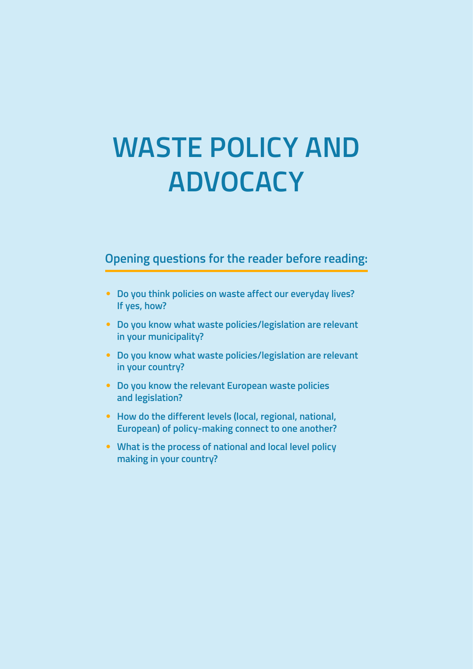# **WASTE POLICY AND ADVOCACY**

## **Opening questions for the reader before reading:**

- **Do you think policies on waste affect our everyday lives? If yes, how?**
- **Do you know what waste policies/legislation are relevant in your municipality?**
- **Do you know what waste policies/legislation are relevant in your country?**
- **Do you know the relevant European waste policies and legislation?**
- **How do the different levels (local, regional, national, European) of policy-making connect to one another?**
- **What is the process of national and local level policy making in your country?**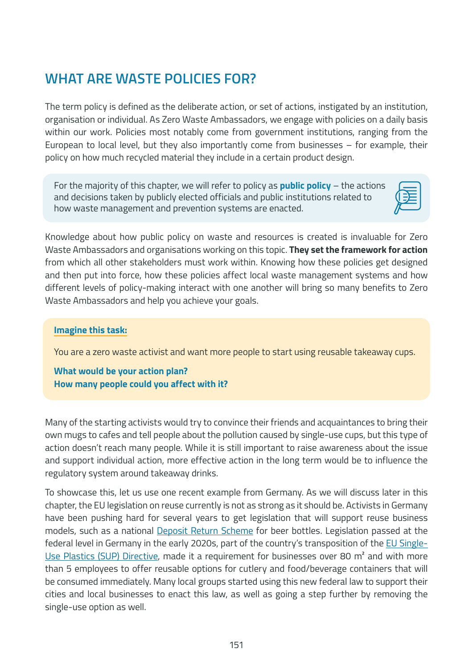# **WHAT ARE WASTE POLICIES FOR?**

The term policy is defined as the deliberate action, or set of actions, instigated by an institution, organisation or individual. As Zero Waste Ambassadors, we engage with policies on a daily basis within our work. Policies most notably come from government institutions, ranging from the European to local level, but they also importantly come from businesses – for example, their policy on how much recycled material they include in a certain product design.

For the majority of this chapter, we will refer to policy as **public policy** – the actions and decisions taken by publicly elected officials and public institutions related to how waste management and prevention systems are enacted.



Knowledge about how public policy on waste and resources is created is invaluable for Zero Waste Ambassadors and organisations working on this topic. **They set the framework for action** from which all other stakeholders must work within. Knowing how these policies get designed and then put into force, how these policies affect local waste management systems and how different levels of policy-making interact with one another will bring so many benefits to Zero Waste Ambassadors and help you achieve your goals.

#### **Imagine this task:**

You are a zero waste activist and want more people to start using reusable takeaway cups.

**What would be your action plan? How many people could you affect with it?**

Many of the starting activists would try to convince their friends and acquaintances to bring their own mugs to cafes and tell people about the pollution caused by single-use cups, but this type of action doesn't reach many people. While it is still important to raise awareness about the issue and support individual action, more effective action in the long term would be to influence the regulatory system around takeaway drinks.

To showcase this, let us use one recent example from Germany. As we will discuss later in this chapter, the EU legislation on reuse currently is not as strong as it should be. Activists in Germany have been pushing hard for several years to get legislation that will support reuse business models, such as a national [Deposit Return Scheme](https://zerowasteeurope.eu/library/deposit-return-systems-drs-manifesto/) for beer bottles. Legislation passed at the federal level in Germany in the early 2020s, part of the country's transposition of the [EU Single-](https://ec.europa.eu/environment/topics/plastics/single-use-plastics_en)[Use Plastics \(SUP\) Directive,](https://ec.europa.eu/environment/topics/plastics/single-use-plastics_en) made it a requirement for businesses over 80 m² and with more than 5 employees to offer reusable options for cutlery and food/beverage containers that will be consumed immediately. Many local groups started using this new federal law to support their cities and local businesses to enact this law, as well as going a step further by removing the single-use option as well.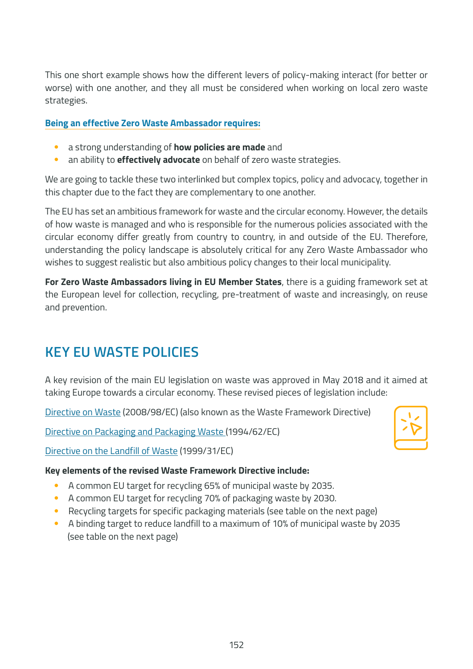This one short example shows how the different levers of policy-making interact (for better or worse) with one another, and they all must be considered when working on local zero waste strategies.

## **Being an effective Zero Waste Ambassador requires:**

- a strong understanding of **how policies are made** and
- an ability to **effectively advocate** on behalf of zero waste strategies.

We are going to tackle these two interlinked but complex topics, policy and advocacy, together in this chapter due to the fact they are complementary to one another.

The EU has set an ambitious framework for waste and the circular economy. However, the details of how waste is managed and who is responsible for the numerous policies associated with the circular economy differ greatly from country to country, in and outside of the EU. Therefore, understanding the policy landscape is absolutely critical for any Zero Waste Ambassador who wishes to suggest realistic but also ambitious policy changes to their local municipality.

**For Zero Waste Ambassadors living in EU Member States**, there is a guiding framework set at the European level for collection, recycling, pre-treatment of waste and increasingly, on reuse and prevention.

# **KEY EU WASTE POLICIES**

A key revision of the main EU legislation on waste was approved in May 2018 and it aimed at taking Europe towards a circular economy. These revised pieces of legislation include:

[Directive on Waste](https://ec.europa.eu/environment/topics/waste-and-recycling/waste-framework-directive_en) (2008/98/EC) (also known as the Waste Framework Directive)

[Directive on Packaging and Packaging Waste](https://ec.europa.eu/environment/topics/waste-and-recycling/packaging-waste_en) (1994/62/EC)

[Directive on the Landfill of Waste](https://ec.europa.eu/environment/topics/waste-and-recycling/landfill-waste_en) (1999/31/EC)

### **Key elements of the revised Waste Framework Directive include:**

- A common EU target for recycling 65% of municipal waste by 2035.
- A common EU target for recycling 70% of packaging waste by 2030.
- Recycling targets for specific packaging materials (see table on the next page)
- A binding target to reduce landfill to a maximum of 10% of municipal waste by 2035 (see table on the next page)

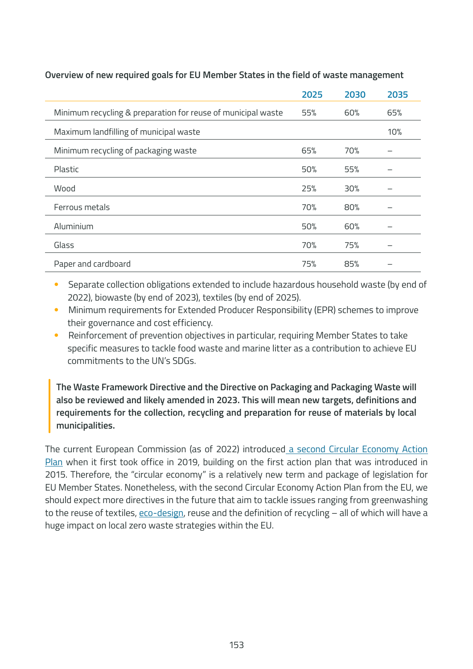|                                                              | 2025 | 2030 | 2035 |
|--------------------------------------------------------------|------|------|------|
| Minimum recycling & preparation for reuse of municipal waste | 55%  | 60%  | 65%  |
| Maximum landfilling of municipal waste                       |      |      | 10%  |
| Minimum recycling of packaging waste                         | 65%  | 70%  |      |
| Plastic                                                      | 50%  | 55%  |      |
| Wood                                                         | 25%  | 30%  |      |
| Ferrous metals                                               | 70%  | 80%  |      |
| Aluminium                                                    | 50%  | 60%  |      |
| Glass                                                        | 70%  | 75%  |      |
| Paper and cardboard                                          | 75%  | 85%  |      |

#### **Overview of new required goals for EU Member States in the field of waste management**

• Separate collection obligations extended to include hazardous household waste (by end of 2022), biowaste (by end of 2023), textiles (by end of 2025).

- Minimum requirements for Extended Producer Responsibility (EPR) schemes to improve their governance and cost efficiency.
- Reinforcement of prevention objectives in particular, requiring Member States to take specific measures to tackle food waste and marine litter as a contribution to achieve EU commitments to the UN's SDGs.

**The Waste Framework Directive and the Directive on Packaging and Packaging Waste will also be reviewed and likely amended in 2023. This will mean new targets, definitions and requirements for the collection, recycling and preparation for reuse of materials by local municipalities.**

The current European Commission (as of 2022) introduced [a second Circular Economy Action](https://ec.europa.eu/environment/strategy/circular-economy-action-plan_en#:~:text=The%20new%20action%20plan%20announces,for%20as%20long%20as%20possible.)  [Plan](https://ec.europa.eu/environment/strategy/circular-economy-action-plan_en#:~:text=The%20new%20action%20plan%20announces,for%20as%20long%20as%20possible.) when it first took office in 2019, building on the first action plan that was introduced in 2015. Therefore, the "circular economy" is a relatively new term and package of legislation for EU Member States. Nonetheless, with the second Circular Economy Action Plan from the EU, we should expect more directives in the future that aim to tackle issues ranging from greenwashing to the reuse of textiles, [eco-design](https://europa.eu/youreurope/business/product-requirements/compliance/ecodesign/index_en.htm), reuse and the definition of recycling – all of which will have a huge impact on local zero waste strategies within the EU.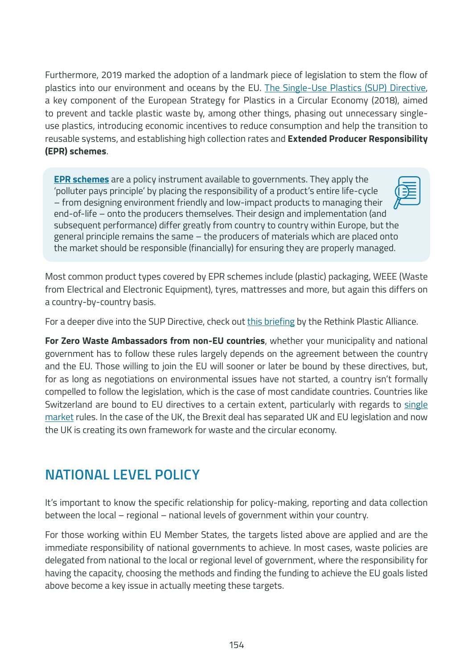Furthermore, 2019 marked the adoption of a landmark piece of legislation to stem the flow of plastics into our environment and oceans by the EU. [The Single-Use Plastics \(SUP\) Directive,](https://ec.europa.eu/environment/topics/plastics/single-use-plastics_en) a key component of the European Strategy for Plastics in a Circular Economy (2018), aimed to prevent and tackle plastic waste by, among other things, phasing out unnecessary singleuse plastics, introducing economic incentives to reduce consumption and help the transition to reusable systems, and establishing high collection rates and **Extended Producer Responsibility (EPR) schemes**.

**[EPR schemes](https://rethinkplasticalliance.eu/wp-content/uploads/2021/08/Ecologic-report-EPR-and-ecomodulation-August2021-1.pdf)** are a policy instrument available to governments. They apply the 'polluter pays principle' by placing the responsibility of a product's entire life-cycle – from designing environment friendly and low-impact products to managing their end-of-life – onto the producers themselves. Their design and implementation (and subsequent performance) differ greatly from country to country within Europe, but the general principle remains the same – the producers of materials which are placed onto the market should be responsible (financially) for ensuring they are properly managed.

Most common product types covered by EPR schemes include (plastic) packaging, WEEE (Waste from Electrical and Electronic Equipment), tyres, mattresses and more, but again this differs on a country-by-country basis.

For a deeper dive into the SUP Directive, check out [this briefing](https://rethinkplasticalliance.eu/wp-content/uploads/2019/05/ZWE_Unfolding-the-SUP-directive.pdf) by the Rethink Plastic Alliance.

**For Zero Waste Ambassadors from non-EU countries**, whether your municipality and national government has to follow these rules largely depends on the agreement between the country and the EU. Those willing to join the EU will sooner or later be bound by these directives, but, for as long as negotiations on environmental issues have not started, a country isn't formally compelled to follow the legislation, which is the case of most candidate countries. Countries like Switzerland are bound to EU directives to a certain extent, particularly with regards to [single](https://european-union.europa.eu/priorities-and-actions/actions-topic/single-market_en)  [market](https://european-union.europa.eu/priorities-and-actions/actions-topic/single-market_en) rules. In the case of the UK, the Brexit deal has separated UK and EU legislation and now the UK is creating its own framework for waste and the circular economy.

# **NATIONAL LEVEL POLICY**

It's important to know the specific relationship for policy-making, reporting and data collection between the local – regional – national levels of government within your country.

For those working within EU Member States, the targets listed above are applied and are the immediate responsibility of national governments to achieve. In most cases, waste policies are delegated from national to the local or regional level of government, where the responsibility for having the capacity, choosing the methods and finding the funding to achieve the EU goals listed above become a key issue in actually meeting these targets.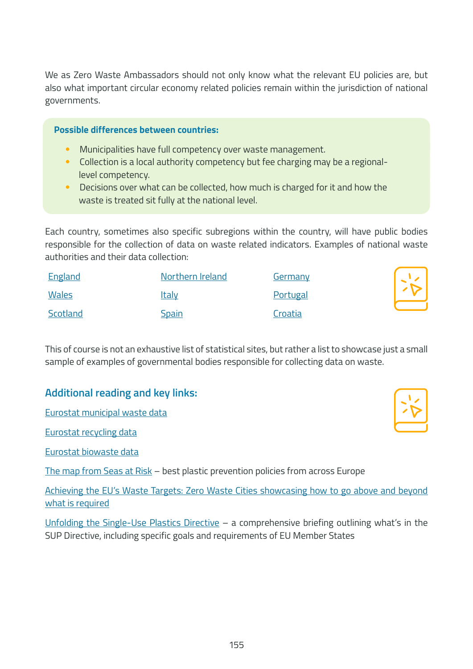We as Zero Waste Ambassadors should not only know what the relevant EU policies are, but also what important circular economy related policies remain within the jurisdiction of national governments.

#### **Possible differences between countries:**

- Municipalities have full competency over waste management.
- Collection is a local authority competency but fee charging may be a regionallevel competency.
- Decisions over what can be collected, how much is charged for it and how the waste is treated sit fully at the national level.

Each country, sometimes also specific subregions within the country, will have public bodies responsible for the collection of data on waste related indicators. Examples of national waste authorities and their data collection:

| England  | Northern Ireland | Germany  |
|----------|------------------|----------|
| Wales    | <u>Italy</u>     | Portugal |
| Scotland | <b>Spain</b>     | Croatia  |



This of course is not an exhaustive list of statistical sites, but rather a list to showcase just a small sample of examples of governmental bodies responsible for collecting data on waste.

## **Additional reading and key links:**

[Eurostat municipal waste data](https://ec.europa.eu/eurostat/statistics-explained/index.php?title=Municipal_waste_statistics)

[Eurostat recycling data](https://ec.europa.eu/eurostat/databrowser/view/sdg_11_60/default/table?lang=en)

[Eurostat biowaste data](https://ec.europa.eu/eurostat/databrowser/view/cei_wm030/default/table?lang=en)

[The map from Seas at Risk](https://map.seas-at-risk.org/) – best plastic prevention policies from across Europe

[Achieving the EU's Waste Targets: Zero Waste Cities showcasing how to go above and beyond](https://zerowasteeurope.eu/wp-content/uploads/2020/07/zero_waste_europe_policy-briefing_achieving-the-eu%E2%80%99s-waste-targets.pdf)  [what is required](https://zerowasteeurope.eu/wp-content/uploads/2020/07/zero_waste_europe_policy-briefing_achieving-the-eu%E2%80%99s-waste-targets.pdf)

[Unfolding the Single-Use Plastics Directive](https://rethinkplasticalliance.eu/wp-content/uploads/2019/05/ZWE_Unfolding-the-SUP-directive.pdf) – a comprehensive briefing outlining what's in the SUP Directive, including specific goals and requirements of EU Member States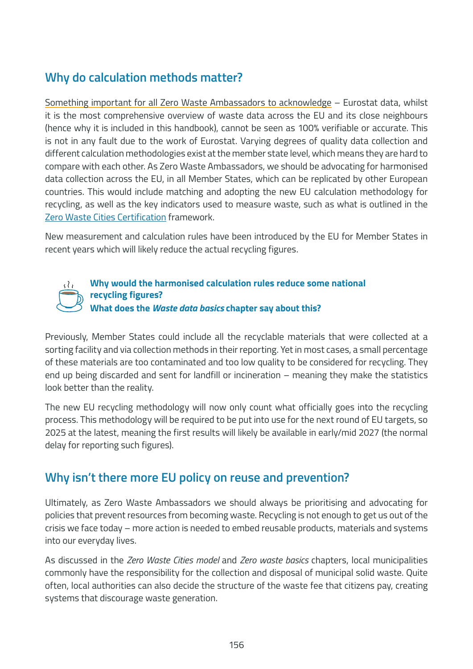## **Why do calculation methods matter?**

Something important for all Zero Waste Ambassadors to acknowledge – Eurostat data, whilst it is the most comprehensive overview of waste data across the EU and its close neighbours (hence why it is included in this handbook), cannot be seen as 100% verifiable or accurate. This is not in any fault due to the work of Eurostat. Varying degrees of quality data collection and different calculation methodologies exist at the member state level, which means they are hard to compare with each other. As Zero Waste Ambassadors, we should be advocating for harmonised data collection across the EU, in all Member States, which can be replicated by other European countries. This would include matching and adopting the new EU calculation methodology for recycling, as well as the key indicators used to measure waste, such as what is outlined in the [Zero Waste Cities Certification](https://www.missionzeroacademy.eu/municipalities/zero-waste-cities-certification/) framework.

New measurement and calculation rules have been introduced by the EU for Member States in recent years which will likely reduce the actual recycling figures.



**Why would the harmonised calculation rules reduce some national recycling figures? What does the** *Waste data basics* **chapter say about this?**

Previously, Member States could include all the recyclable materials that were collected at a sorting facility and via collection methods in their reporting. Yet in most cases, a small percentage of these materials are too contaminated and too low quality to be considered for recycling. They end up being discarded and sent for landfill or incineration – meaning they make the statistics look better than the reality.

The new EU recycling methodology will now only count what officially goes into the recycling process. This methodology will be required to be put into use for the next round of EU targets, so 2025 at the latest, meaning the first results will likely be available in early/mid 2027 (the normal delay for reporting such figures).

## **Why isn't there more EU policy on reuse and prevention?**

Ultimately, as Zero Waste Ambassadors we should always be prioritising and advocating for policies that prevent resources from becoming waste. Recycling is not enough to get us out of the crisis we face today – more action is needed to embed reusable products, materials and systems into our everyday lives.

As discussed in the *Zero Waste Cities model* and *Zero waste basics* chapters, local municipalities commonly have the responsibility for the collection and disposal of municipal solid waste. Quite often, local authorities can also decide the structure of the waste fee that citizens pay, creating systems that discourage waste generation.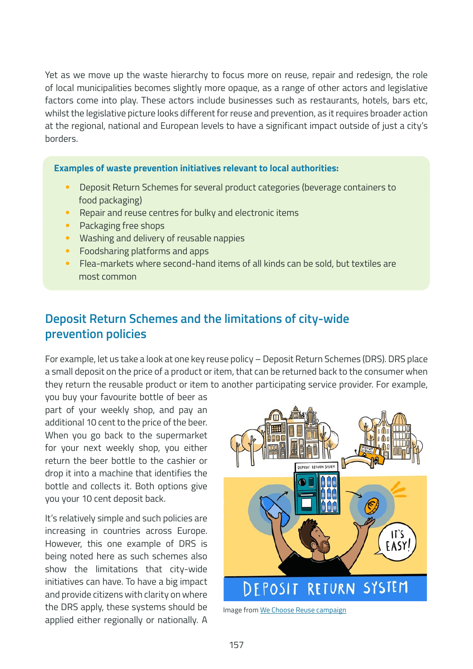Yet as we move up the waste hierarchy to focus more on reuse, repair and redesign, the role of local municipalities becomes slightly more opaque, as a range of other actors and legislative factors come into play. These actors include businesses such as restaurants, hotels, bars etc, whilst the legislative picture looks different for reuse and prevention, as it requires broader action at the regional, national and European levels to have a significant impact outside of just a city's borders.

**Examples of waste prevention initiatives relevant to local authorities:**

- Deposit Return Schemes for several product categories (beverage containers to food packaging)
- Repair and reuse centres for bulky and electronic items
- Packaging free shops
- Washing and delivery of reusable nappies
- Foodsharing platforms and apps
- Flea-markets where second-hand items of all kinds can be sold, but textiles are most common

## **Deposit Return Schemes and the limitations of city-wide prevention policies**

For example, let us take a look at one key reuse policy – Deposit Return Schemes (DRS). DRS place a small deposit on the price of a product or item, that can be returned back to the consumer when they return the reusable product or item to another participating service provider. For example,

you buy your favourite bottle of beer as part of your weekly shop, and pay an additional 10 cent to the price of the beer. When you go back to the supermarket for your next weekly shop, you either return the beer bottle to the cashier or drop it into a machine that identifies the bottle and collects it. Both options give you your 10 cent deposit back.

It's relatively simple and such policies are increasing in countries across Europe. However, this one example of DRS is being noted here as such schemes also show the limitations that city-wide initiatives can have. To have a big impact and provide citizens with clarity on where the DRS apply, these systems should be applied either regionally or nationally. A



Image from [We Choose Reuse campaign](https://wechoosereuse.org/)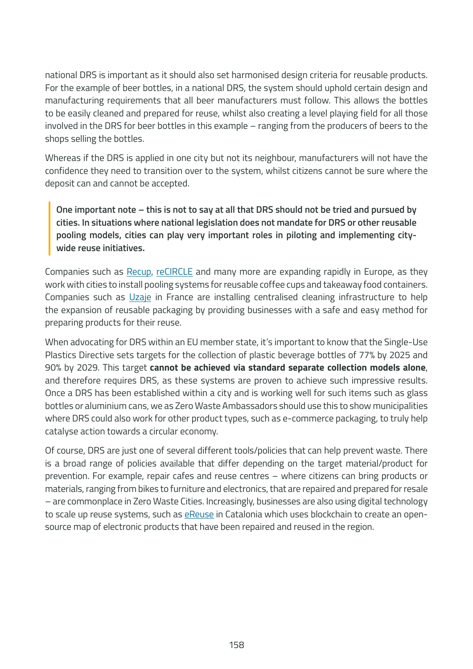national DRS is important as it should also set harmonised design criteria for reusable products. For the example of beer bottles, in a national DRS, the system should uphold certain design and manufacturing requirements that all beer manufacturers must follow. This allows the bottles to be easily cleaned and prepared for reuse, whilst also creating a level playing field for all those involved in the DRS for beer bottles in this example – ranging from the producers of beers to the shops selling the bottles.

Whereas if the DRS is applied in one city but not its neighbour, manufacturers will not have the confidence they need to transition over to the system, whilst citizens cannot be sure where the deposit can and cannot be accepted.

**One important note – this is not to say at all that DRS should not be tried and pursued by cities. In situations where national legislation does not mandate for DRS or other reusable pooling models, cities can play very important roles in piloting and implementing citywide reuse initiatives.** 

Companies such as [Recup](https://recup.de/), [reCIRCLE](https://www.recircle.ch/en/) and many more are expanding rapidly in Europe, as they work with cities to install pooling systems for reusable coffee cups and takeaway food containers. Companies such as [Uzaje i](https://uzaje.com/index.php/en/)n France are installing centralised cleaning infrastructure to help the expansion of reusable packaging by providing businesses with a safe and easy method for preparing products for their reuse.

When advocating for DRS within an EU member state, it's important to know that the Single-Use Plastics Directive sets targets for the collection of plastic beverage bottles of 77% by 2025 and 90% by 2029. This target **cannot be achieved via standard separate collection models alone**, and therefore requires DRS, as these systems are proven to achieve such impressive results. Once a DRS has been established within a city and is working well for such items such as glass bottles or aluminium cans, we as Zero Waste Ambassadors should use this to show municipalities where DRS could also work for other product types, such as e-commerce packaging, to truly help catalyse action towards a circular economy.

Of course, DRS are just one of several different tools/policies that can help prevent waste. There is a broad range of policies available that differ depending on the target material/product for prevention. For example, repair cafes and reuse centres – where citizens can bring products or materials, ranging from bikes to furniture and electronics, that are repaired and prepared for resale – are commonplace in Zero Waste Cities. Increasingly, businesses are also using digital technology to scale up reuse systems, such as [eReuse](https://www.ereuse.org/about/) in Catalonia which uses blockchain to create an opensource map of electronic products that have been repaired and reused in the region.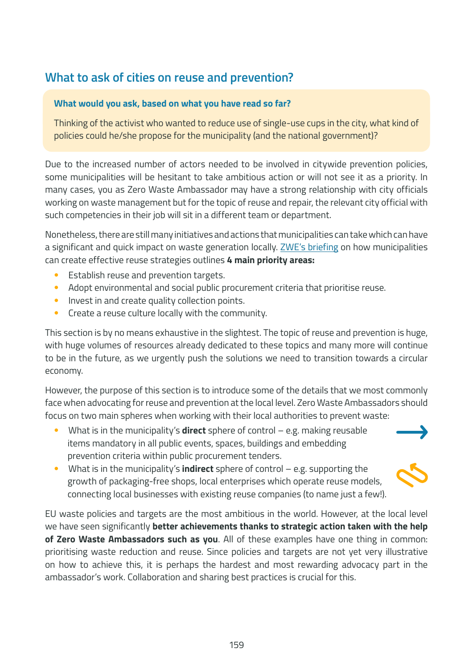## **What to ask of cities on reuse and prevention?**

## **What would you ask, based on what you have read so far?**

Thinking of the activist who wanted to reduce use of single-use cups in the city, what kind of policies could he/she propose for the municipality (and the national government)?

Due to the increased number of actors needed to be involved in citywide prevention policies, some municipalities will be hesitant to take ambitious action or will not see it as a priority. In many cases, you as Zero Waste Ambassador may have a strong relationship with city officials working on waste management but for the topic of reuse and repair, the relevant city official with such competencies in their job will sit in a different team or department.

Nonetheless, there are still many initiatives and actions that municipalities can take which can have a significant and quick impact on waste generation locally. [ZWE's briefing](https://zerowastecities.eu/tools/putting-second-hand-first/) on how municipalities can create effective reuse strategies outlines **4 main priority areas:**

- Establish reuse and prevention targets.
- Adopt environmental and social public procurement criteria that prioritise reuse.
- Invest in and create quality collection points.
- Create a reuse culture locally with the community.

This section is by no means exhaustive in the slightest. The topic of reuse and prevention is huge, with huge volumes of resources already dedicated to these topics and many more will continue to be in the future, as we urgently push the solutions we need to transition towards a circular economy.

However, the purpose of this section is to introduce some of the details that we most commonly face when advocating for reuse and prevention at the local level. Zero Waste Ambassadors should focus on two main spheres when working with their local authorities to prevent waste:

- What is in the municipality's **direct** sphere of control e.g. making reusable items mandatory in all public events, spaces, buildings and embedding prevention criteria within public procurement tenders.
- What is in the municipality's **indirect** sphere of control e.g. supporting the growth of packaging-free shops, local enterprises which operate reuse models, connecting local businesses with existing reuse companies (to name just a few!).

EU waste policies and targets are the most ambitious in the world. However, at the local level we have seen significantly **better achievements thanks to strategic action taken with the help of Zero Waste Ambassadors such as you**. All of these examples have one thing in common: prioritising waste reduction and reuse. Since policies and targets are not yet very illustrative on how to achieve this, it is perhaps the hardest and most rewarding advocacy part in the ambassador's work. Collaboration and sharing best practices is crucial for this.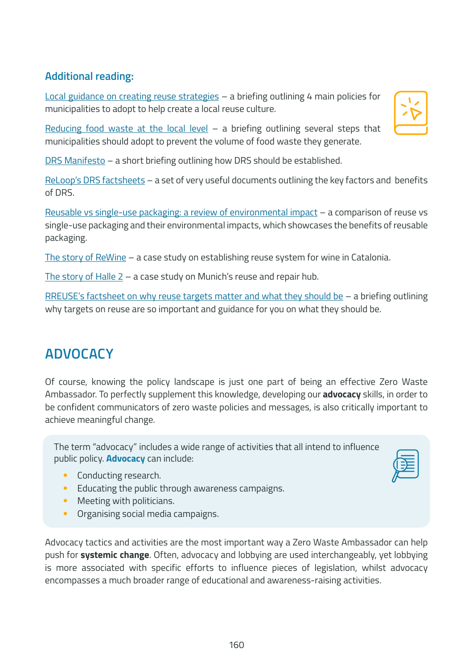## **Additional reading:**

[Local guidance on creating reuse strategies](https://zerowastecities.eu/tools/putting-second-hand-first/) – a briefing outlining 4 main policies for municipalities to adopt to help create a local reuse culture.

[Reducing food waste at the local level](https://zerowastecities.eu/tools/reducing-food-waste-at-the-local-level/)  $-$  a briefing outlining several steps that municipalities should adopt to prevent the volume of food waste they generate.

[DRS Manifesto](https://zerowasteeurope.eu/library/deposit-return-systems-drs-manifesto/) – a short briefing outlining how DRS should be established.

[ReLoop's DRS factsheets](https://www.reloopplatform.org/resources/factsheets/) – a set of very useful documents outlining the key factors and benefits of DRS.

[Reusable vs single-use packaging: a review of environmental impact](https://zerowasteeurope.eu/library/reducing-packaging-waste-choose-prevention-and-reuse/) – a comparison of reuse vs single-use packaging and their environmental impacts, which showcases the benefits of reusable packaging.

[The story of ReWine](https://zerowasteeurope.eu/library/the-story-of-rewine/) – a case study on establishing reuse system for wine in Catalonia.

[The story of Halle 2](https://zerowastecities.eu/bestpractice/the-story-of-munich/) – a case study on Munich's reuse and repair hub.

[RREUSE's factsheet on why reuse targets matter and what they should be](https://rreuse.org/wp-content/uploads/2022/03/re-use-targets-factsheet.pdf)  $-$  a briefing outlining why targets on reuse are so important and guidance for you on what they should be.

## **ADVOCACY**

Of course, knowing the policy landscape is just one part of being an effective Zero Waste Ambassador. To perfectly supplement this knowledge, developing our **advocacy** skills, in order to be confident communicators of zero waste policies and messages, is also critically important to achieve meaningful change.

The term "advocacy" includes a wide range of activities that all intend to influence public policy. **Advocacy** can include:

- Conducting research.
- Educating the public through awareness campaigns.
- Meeting with politicians.
- Organising social media campaigns.

Advocacy tactics and activities are the most important way a Zero Waste Ambassador can help push for **systemic change**. Often, advocacy and lobbying are used interchangeably, yet lobbying is more associated with specific efforts to influence pieces of legislation, whilst advocacy encompasses a much broader range of educational and awareness-raising activities.



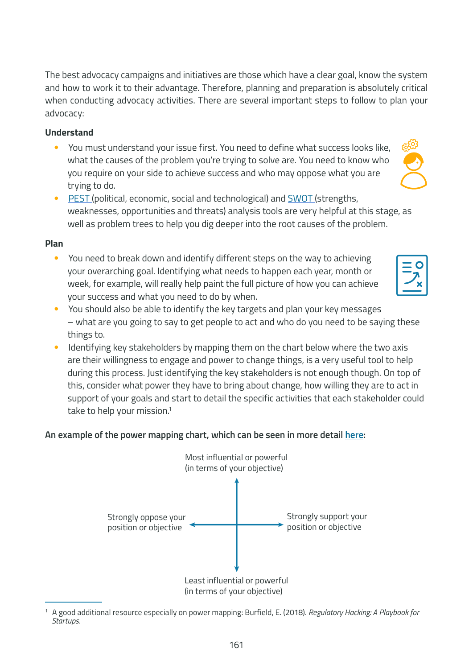The best advocacy campaigns and initiatives are those which have a clear goal, know the system and how to work it to their advantage. Therefore, planning and preparation is absolutely critical when conducting advocacy activities. There are several important steps to follow to plan your advocacy:

## **Understand**

- You must understand your issue first. You need to define what success looks like, what the causes of the problem you're trying to solve are. You need to know who you require on your side to achieve success and who may oppose what you are trying to do.
- [PEST](https://pestleanalysis.com/pest-analysis/) (political, economic, social and technological) and [SWOT](https://pestleanalysis.com/swot-analysis-definition/) (strengths, weaknesses, opportunities and threats) analysis tools are very helpful at this stage, as well as problem trees to help you dig deeper into the root causes of the problem.

### **Plan**

- You need to break down and identify different steps on the way to achieving your overarching goal. Identifying what needs to happen each year, month or week, for example, will really help paint the full picture of how you can achieve your success and what you need to do by when.
- You should also be able to identify the key targets and plan your key messages – what are you going to say to get people to act and who do you need to be saying these things to.
- Identifying key stakeholders by mapping them on the chart below where the two axis are their willingness to engage and power to change things, is a very useful tool to help during this process. Just identifying the key stakeholders is not enough though. On top of this, consider what power they have to bring about change, how willing they are to act in support of your goals and start to detail the specific activities that each stakeholder could take to help your mission.<sup>1</sup>

Most influential or powerful (in terms of your objective)

> Strongly support your position or objective

## **An example of the power mapping chart, which can be seen in more detail [here:](https://commonslibrary.org/guide-power-mapping-and-analysis/)**

Strongly oppose your position or objective



<sup>1</sup> A good additional resource especially on power mapping: Burfield, E. (2018). *Regulatory Hacking: A Playbook for Startups.*



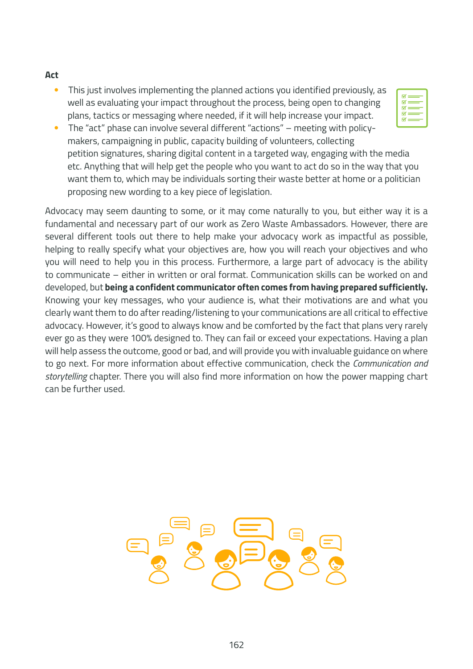#### **Act**

- This just involves implementing the planned actions you identified previously, as well as evaluating your impact throughout the process, being open to changing plans, tactics or messaging where needed, if it will help increase your impact.
- The "act" phase can involve several different "actions" meeting with policymakers, campaigning in public, capacity building of volunteers, collecting petition signatures, sharing digital content in a targeted way, engaging with the media etc. Anything that will help get the people who you want to act do so in the way that you want them to, which may be individuals sorting their waste better at home or a politician proposing new wording to a key piece of legislation.

Advocacy may seem daunting to some, or it may come naturally to you, but either way it is a fundamental and necessary part of our work as Zero Waste Ambassadors. However, there are several different tools out there to help make your advocacy work as impactful as possible, helping to really specify what your objectives are, how you will reach your objectives and who you will need to help you in this process. Furthermore, a large part of advocacy is the ability to communicate – either in written or oral format. Communication skills can be worked on and developed, but **being a confident communicator often comes from having prepared sufficiently.** Knowing your key messages, who your audience is, what their motivations are and what you clearly want them to do after reading/listening to your communications are all critical to effective advocacy. However, it's good to always know and be comforted by the fact that plans very rarely ever go as they were 100% designed to. They can fail or exceed your expectations. Having a plan will help assess the outcome, good or bad, and will provide you with invaluable guidance on where to go next. For more information about effective communication, check the *Communication and storytelling* chapter. There you will also find more information on how the power mapping chart can be further used.



| $\breve{\mathbf{M}}=$<br>$M =$<br>$\overline{\mathsf{M}}$ = |
|-------------------------------------------------------------|
| $\scriptstyle\rm\approx$ $\scriptstyle\rm\sim$<br>м÷        |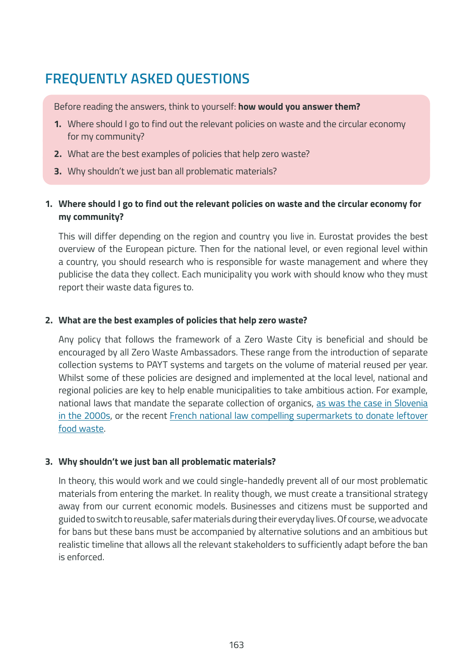# **FREQUENTLY ASKED QUESTIONS**

Before reading the answers, think to yourself: **how would you answer them?**

- **1.** Where should I go to find out the relevant policies on waste and the circular economy for my community?
- **2.** What are the best examples of policies that help zero waste?
- **3.** Why shouldn't we just ban all problematic materials?

## **1. Where should I go to find out the relevant policies on waste and the circular economy for my community?**

This will differ depending on the region and country you live in. Eurostat provides the best overview of the European picture. Then for the national level, or even regional level within a country, you should research who is responsible for waste management and where they publicise the data they collect. Each municipality you work with should know who they must report their waste data figures to.

#### **2. What are the best examples of policies that help zero waste?**

Any policy that follows the framework of a Zero Waste City is beneficial and should be encouraged by all Zero Waste Ambassadors. These range from the introduction of separate collection systems to PAYT systems and targets on the volume of material reused per year. Whilst some of these policies are designed and implemented at the local level, national and regional policies are key to help enable municipalities to take ambitious action. For example, national laws that mandate the separate collection of organics, as was the case in Slovenia [in the 2000s,](https://zerowastecities.eu/how-to-collect-and-manage-organics-well-lessons-from-slovenia/) or the recent French national law compelling supermarkets to donate leftover [food waste.](https://zerowasteeurope.eu/library/france-law-for-fighting-food-waste/)

### **3. Why shouldn't we just ban all problematic materials?**

In theory, this would work and we could single-handedly prevent all of our most problematic materials from entering the market. In reality though, we must create a transitional strategy away from our current economic models. Businesses and citizens must be supported and guided to switch to reusable, safer materials during their everyday lives. Of course, we advocate for bans but these bans must be accompanied by alternative solutions and an ambitious but realistic timeline that allows all the relevant stakeholders to sufficiently adapt before the ban is enforced.